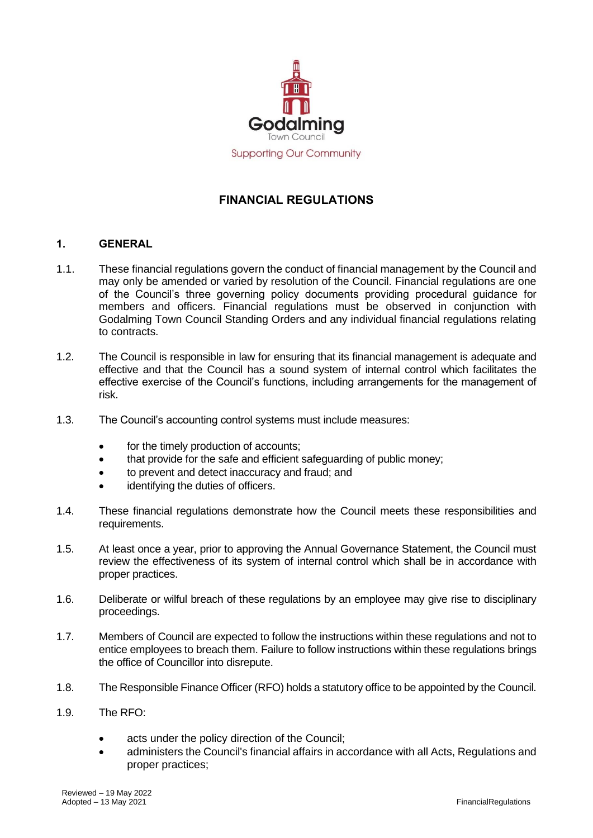

# **FINANCIAL REGULATIONS**

#### **1. GENERAL**

- 1.1. These financial regulations govern the conduct of financial management by the Council and may only be amended or varied by resolution of the Council. Financial regulations are one of the Council's three governing policy documents providing procedural guidance for members and officers. Financial regulations must be observed in conjunction with Godalming Town Council Standing Orders and any individual financial regulations relating to contracts.
- 1.2. The Council is responsible in law for ensuring that its financial management is adequate and effective and that the Council has a sound system of internal control which facilitates the effective exercise of the Council's functions, including arrangements for the management of risk.
- 1.3. The Council's accounting control systems must include measures:
	- for the timely production of accounts;
	- that provide for the safe and efficient safeguarding of public money;
	- to prevent and detect inaccuracy and fraud; and
	- identifying the duties of officers.
- 1.4. These financial regulations demonstrate how the Council meets these responsibilities and requirements.
- 1.5. At least once a year, prior to approving the Annual Governance Statement, the Council must review the effectiveness of its system of internal control which shall be in accordance with proper practices.
- 1.6. Deliberate or wilful breach of these regulations by an employee may give rise to disciplinary proceedings.
- 1.7. Members of Council are expected to follow the instructions within these regulations and not to entice employees to breach them. Failure to follow instructions within these regulations brings the office of Councillor into disrepute.
- 1.8. The Responsible Finance Officer (RFO) holds a statutory office to be appointed by the Council.
- 1.9. The RFO:
	- acts under the policy direction of the Council;
	- administers the Council's financial affairs in accordance with all Acts, Regulations and proper practices;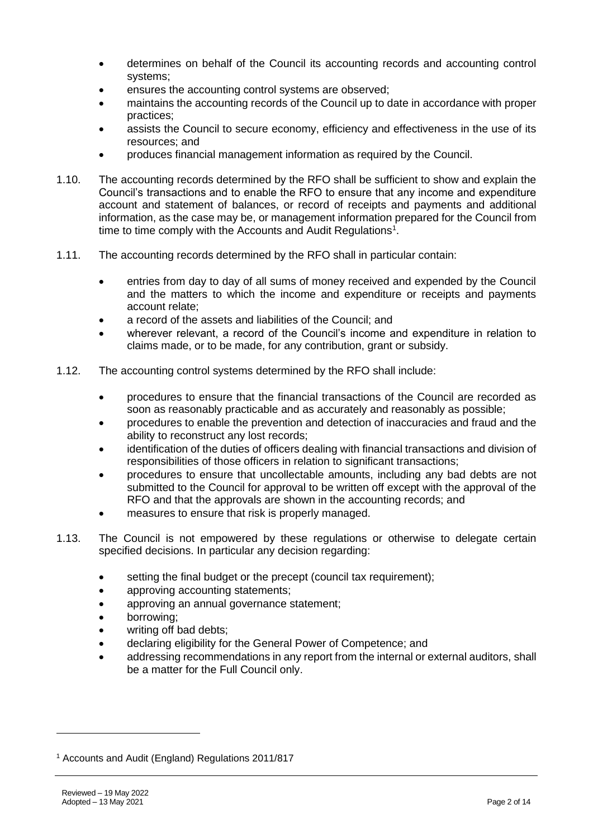- determines on behalf of the Council its accounting records and accounting control systems;
- ensures the accounting control systems are observed;
- maintains the accounting records of the Council up to date in accordance with proper practices;
- assists the Council to secure economy, efficiency and effectiveness in the use of its resources; and
- produces financial management information as required by the Council.
- 1.10. The accounting records determined by the RFO shall be sufficient to show and explain the Council's transactions and to enable the RFO to ensure that any income and expenditure account and statement of balances, or record of receipts and payments and additional information, as the case may be, or management information prepared for the Council from time to time comply with the Accounts and Audit Regulations<sup>1</sup>.
- 1.11. The accounting records determined by the RFO shall in particular contain:
	- entries from day to day of all sums of money received and expended by the Council and the matters to which the income and expenditure or receipts and payments account relate;
	- a record of the assets and liabilities of the Council; and
	- wherever relevant, a record of the Council's income and expenditure in relation to claims made, or to be made, for any contribution, grant or subsidy.
- 1.12. The accounting control systems determined by the RFO shall include:
	- procedures to ensure that the financial transactions of the Council are recorded as soon as reasonably practicable and as accurately and reasonably as possible;
	- procedures to enable the prevention and detection of inaccuracies and fraud and the ability to reconstruct any lost records;
	- identification of the duties of officers dealing with financial transactions and division of responsibilities of those officers in relation to significant transactions;
	- procedures to ensure that uncollectable amounts, including any bad debts are not submitted to the Council for approval to be written off except with the approval of the RFO and that the approvals are shown in the accounting records; and
	- measures to ensure that risk is properly managed.
- 1.13. The Council is not empowered by these regulations or otherwise to delegate certain specified decisions. In particular any decision regarding:
	- setting the final budget or the precept (council tax requirement);
	- approving accounting statements;
	- approving an annual governance statement;
	- borrowing;
	- writing off bad debts;
	- declaring eligibility for the General Power of Competence; and
	- addressing recommendations in any report from the internal or external auditors, shall be a matter for the Full Council only.

<sup>1</sup> Accounts and Audit (England) Regulations 2011/817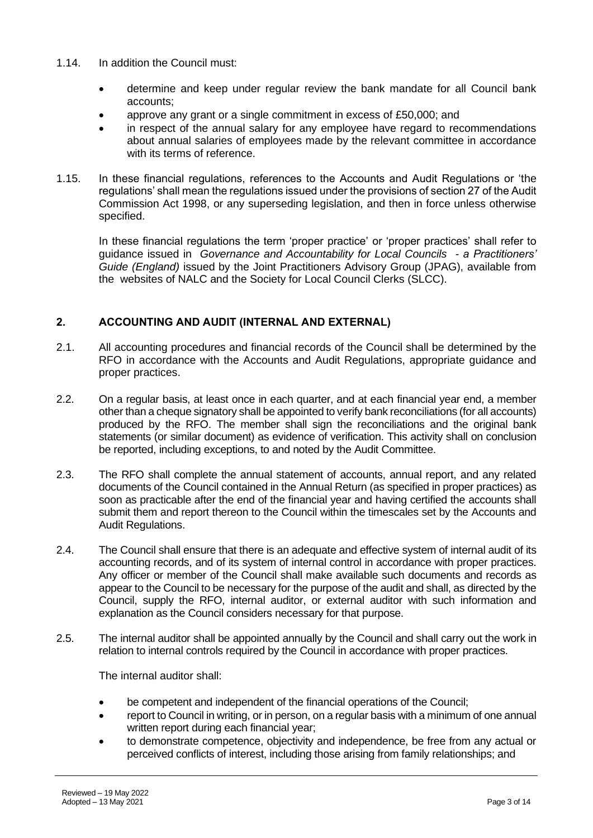- 1.14. In addition the Council must:
	- determine and keep under regular review the bank mandate for all Council bank accounts;
	- approve any grant or a single commitment in excess of £50,000; and
	- in respect of the annual salary for any employee have regard to recommendations about annual salaries of employees made by the relevant committee in accordance with its terms of reference.
- 1.15. In these financial regulations, references to the Accounts and Audit Regulations or 'the regulations' shall mean the regulations issued under the provisions of section 27 of the Audit Commission Act 1998, or any superseding legislation, and then in force unless otherwise specified.

In these financial regulations the term 'proper practice' or 'proper practices' shall refer to guidance issued in *Governance and Accountability for Local Councils - a Practitioners' Guide (England)* issued by the Joint Practitioners Advisory Group (JPAG), available from the websites of NALC and the Society for Local Council Clerks (SLCC).

## **2. ACCOUNTING AND AUDIT (INTERNAL AND EXTERNAL)**

- 2.1. All accounting procedures and financial records of the Council shall be determined by the RFO in accordance with the Accounts and Audit Regulations, appropriate guidance and proper practices.
- 2.2. On a regular basis, at least once in each quarter, and at each financial year end, a member other than a cheque signatory shall be appointed to verify bank reconciliations (for all accounts) produced by the RFO. The member shall sign the reconciliations and the original bank statements (or similar document) as evidence of verification. This activity shall on conclusion be reported, including exceptions, to and noted by the Audit Committee.
- 2.3. The RFO shall complete the annual statement of accounts, annual report, and any related documents of the Council contained in the Annual Return (as specified in proper practices) as soon as practicable after the end of the financial year and having certified the accounts shall submit them and report thereon to the Council within the timescales set by the Accounts and Audit Regulations.
- 2.4. The Council shall ensure that there is an adequate and effective system of internal audit of its accounting records, and of its system of internal control in accordance with proper practices. Any officer or member of the Council shall make available such documents and records as appear to the Council to be necessary for the purpose of the audit and shall, as directed by the Council, supply the RFO, internal auditor, or external auditor with such information and explanation as the Council considers necessary for that purpose.
- 2.5. The internal auditor shall be appointed annually by the Council and shall carry out the work in relation to internal controls required by the Council in accordance with proper practices.

The internal auditor shall:

- be competent and independent of the financial operations of the Council;
- report to Council in writing, or in person, on a regular basis with a minimum of one annual written report during each financial year;
- to demonstrate competence, objectivity and independence, be free from any actual or perceived conflicts of interest, including those arising from family relationships; and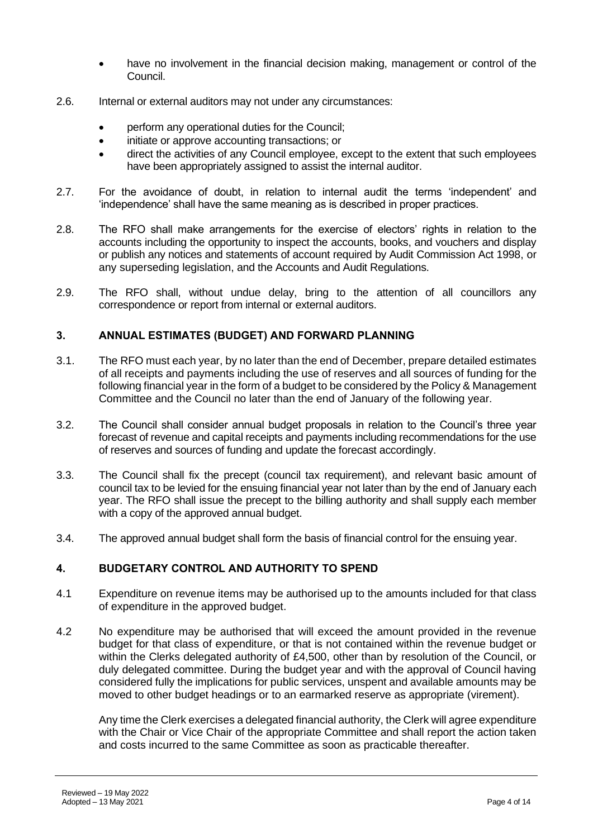- have no involvement in the financial decision making, management or control of the Council.
- 2.6. Internal or external auditors may not under any circumstances:
	- perform any operational duties for the Council;
	- initiate or approve accounting transactions; or
	- direct the activities of any Council employee, except to the extent that such employees have been appropriately assigned to assist the internal auditor.
- 2.7. For the avoidance of doubt, in relation to internal audit the terms 'independent' and 'independence' shall have the same meaning as is described in proper practices.
- 2.8. The RFO shall make arrangements for the exercise of electors' rights in relation to the accounts including the opportunity to inspect the accounts, books, and vouchers and display or publish any notices and statements of account required by Audit Commission Act 1998, or any superseding legislation, and the Accounts and Audit Regulations.
- 2.9. The RFO shall, without undue delay, bring to the attention of all councillors any correspondence or report from internal or external auditors.

## **3. ANNUAL ESTIMATES (BUDGET) AND FORWARD PLANNING**

- 3.1. The RFO must each year, by no later than the end of December, prepare detailed estimates of all receipts and payments including the use of reserves and all sources of funding for the following financial year in the form of a budget to be considered by the Policy & Management Committee and the Council no later than the end of January of the following year.
- 3.2. The Council shall consider annual budget proposals in relation to the Council's three year forecast of revenue and capital receipts and payments including recommendations for the use of reserves and sources of funding and update the forecast accordingly.
- 3.3. The Council shall fix the precept (council tax requirement), and relevant basic amount of council tax to be levied for the ensuing financial year not later than by the end of January each year. The RFO shall issue the precept to the billing authority and shall supply each member with a copy of the approved annual budget.
- 3.4. The approved annual budget shall form the basis of financial control for the ensuing year.

# **4. BUDGETARY CONTROL AND AUTHORITY TO SPEND**

- 4.1 Expenditure on revenue items may be authorised up to the amounts included for that class of expenditure in the approved budget.
- 4.2 No expenditure may be authorised that will exceed the amount provided in the revenue budget for that class of expenditure, or that is not contained within the revenue budget or within the Clerks delegated authority of £4,500, other than by resolution of the Council, or duly delegated committee. During the budget year and with the approval of Council having considered fully the implications for public services, unspent and available amounts may be moved to other budget headings or to an earmarked reserve as appropriate (virement).

Any time the Clerk exercises a delegated financial authority, the Clerk will agree expenditure with the Chair or Vice Chair of the appropriate Committee and shall report the action taken and costs incurred to the same Committee as soon as practicable thereafter.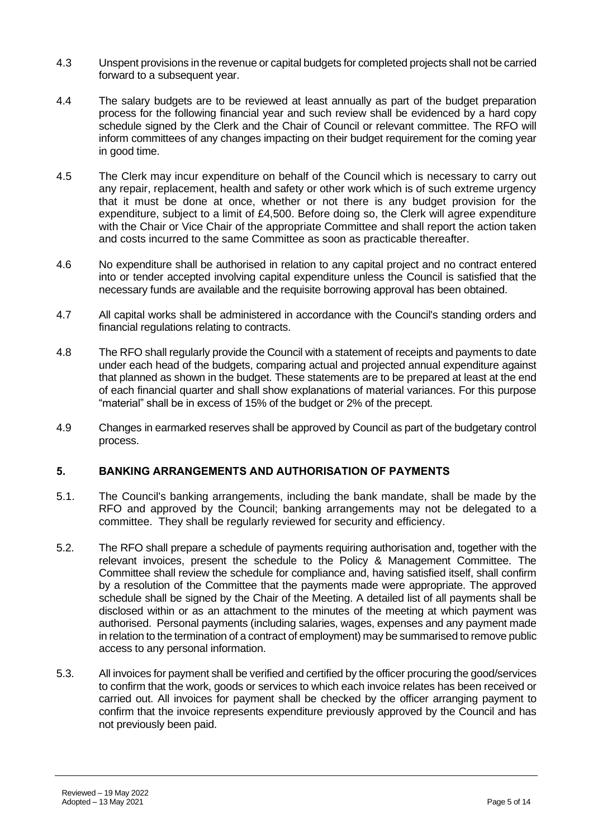- 4.3 Unspent provisions in the revenue or capital budgets for completed projects shall not be carried forward to a subsequent year.
- 4.4 The salary budgets are to be reviewed at least annually as part of the budget preparation process for the following financial year and such review shall be evidenced by a hard copy schedule signed by the Clerk and the Chair of Council or relevant committee. The RFO will inform committees of any changes impacting on their budget requirement for the coming year in good time.
- 4.5 The Clerk may incur expenditure on behalf of the Council which is necessary to carry out any repair, replacement, health and safety or other work which is of such extreme urgency that it must be done at once, whether or not there is any budget provision for the expenditure, subject to a limit of £4,500. Before doing so, the Clerk will agree expenditure with the Chair or Vice Chair of the appropriate Committee and shall report the action taken and costs incurred to the same Committee as soon as practicable thereafter.
- 4.6 No expenditure shall be authorised in relation to any capital project and no contract entered into or tender accepted involving capital expenditure unless the Council is satisfied that the necessary funds are available and the requisite borrowing approval has been obtained.
- 4.7 All capital works shall be administered in accordance with the Council's standing orders and financial regulations relating to contracts.
- 4.8 The RFO shall regularly provide the Council with a statement of receipts and payments to date under each head of the budgets, comparing actual and projected annual expenditure against that planned as shown in the budget. These statements are to be prepared at least at the end of each financial quarter and shall show explanations of material variances. For this purpose "material" shall be in excess of 15% of the budget or 2% of the precept.
- 4.9 Changes in earmarked reserves shall be approved by Council as part of the budgetary control process.

#### **5. BANKING ARRANGEMENTS AND AUTHORISATION OF PAYMENTS**

- 5.1. The Council's banking arrangements, including the bank mandate, shall be made by the RFO and approved by the Council; banking arrangements may not be delegated to a committee. They shall be regularly reviewed for security and efficiency.
- 5.2. The RFO shall prepare a schedule of payments requiring authorisation and, together with the relevant invoices, present the schedule to the Policy & Management Committee. The Committee shall review the schedule for compliance and, having satisfied itself, shall confirm by a resolution of the Committee that the payments made were appropriate. The approved schedule shall be signed by the Chair of the Meeting. A detailed list of all payments shall be disclosed within or as an attachment to the minutes of the meeting at which payment was authorised. Personal payments (including salaries, wages, expenses and any payment made in relation to the termination of a contract of employment) may be summarised to remove public access to any personal information.
- 5.3. All invoices for payment shall be verified and certified by the officer procuring the good/services to confirm that the work, goods or services to which each invoice relates has been received or carried out. All invoices for payment shall be checked by the officer arranging payment to confirm that the invoice represents expenditure previously approved by the Council and has not previously been paid.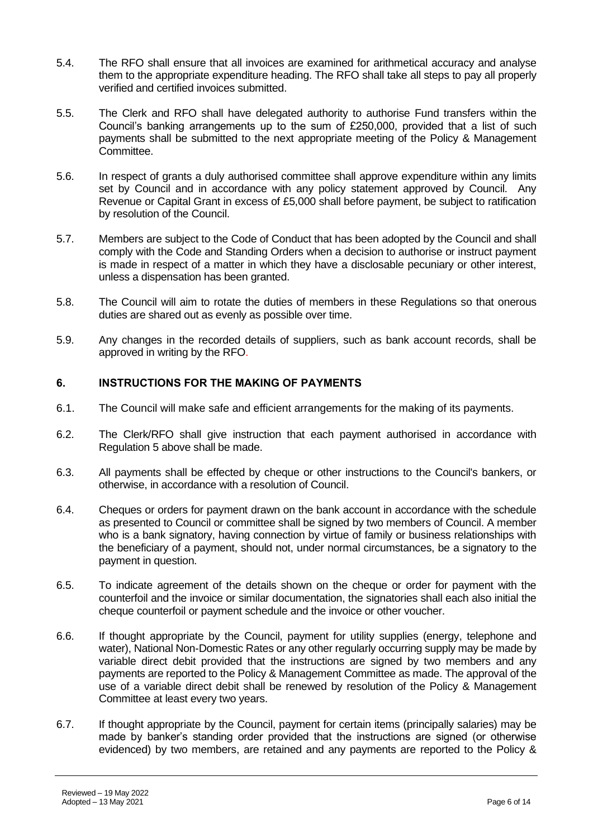- 5.4. The RFO shall ensure that all invoices are examined for arithmetical accuracy and analyse them to the appropriate expenditure heading. The RFO shall take all steps to pay all properly verified and certified invoices submitted.
- 5.5. The Clerk and RFO shall have delegated authority to authorise Fund transfers within the Council's banking arrangements up to the sum of £250,000, provided that a list of such payments shall be submitted to the next appropriate meeting of the Policy & Management Committee.
- 5.6. In respect of grants a duly authorised committee shall approve expenditure within any limits set by Council and in accordance with any policy statement approved by Council. Any Revenue or Capital Grant in excess of £5,000 shall before payment, be subject to ratification by resolution of the Council.
- 5.7. Members are subject to the Code of Conduct that has been adopted by the Council and shall comply with the Code and Standing Orders when a decision to authorise or instruct payment is made in respect of a matter in which they have a disclosable pecuniary or other interest, unless a dispensation has been granted.
- 5.8. The Council will aim to rotate the duties of members in these Regulations so that onerous duties are shared out as evenly as possible over time.
- 5.9. Any changes in the recorded details of suppliers, such as bank account records, shall be approved in writing by the RFO.

## **6. INSTRUCTIONS FOR THE MAKING OF PAYMENTS**

- 6.1. The Council will make safe and efficient arrangements for the making of its payments.
- 6.2. The Clerk/RFO shall give instruction that each payment authorised in accordance with Regulation 5 above shall be made.
- 6.3. All payments shall be effected by cheque or other instructions to the Council's bankers, or otherwise, in accordance with a resolution of Council.
- 6.4. Cheques or orders for payment drawn on the bank account in accordance with the schedule as presented to Council or committee shall be signed by two members of Council. A member who is a bank signatory, having connection by virtue of family or business relationships with the beneficiary of a payment, should not, under normal circumstances, be a signatory to the payment in question.
- 6.5. To indicate agreement of the details shown on the cheque or order for payment with the counterfoil and the invoice or similar documentation, the signatories shall each also initial the cheque counterfoil or payment schedule and the invoice or other voucher.
- 6.6. If thought appropriate by the Council, payment for utility supplies (energy, telephone and water), National Non-Domestic Rates or any other regularly occurring supply may be made by variable direct debit provided that the instructions are signed by two members and any payments are reported to the Policy & Management Committee as made. The approval of the use of a variable direct debit shall be renewed by resolution of the Policy & Management Committee at least every two years.
- 6.7. If thought appropriate by the Council, payment for certain items (principally salaries) may be made by banker's standing order provided that the instructions are signed (or otherwise evidenced) by two members, are retained and any payments are reported to the Policy &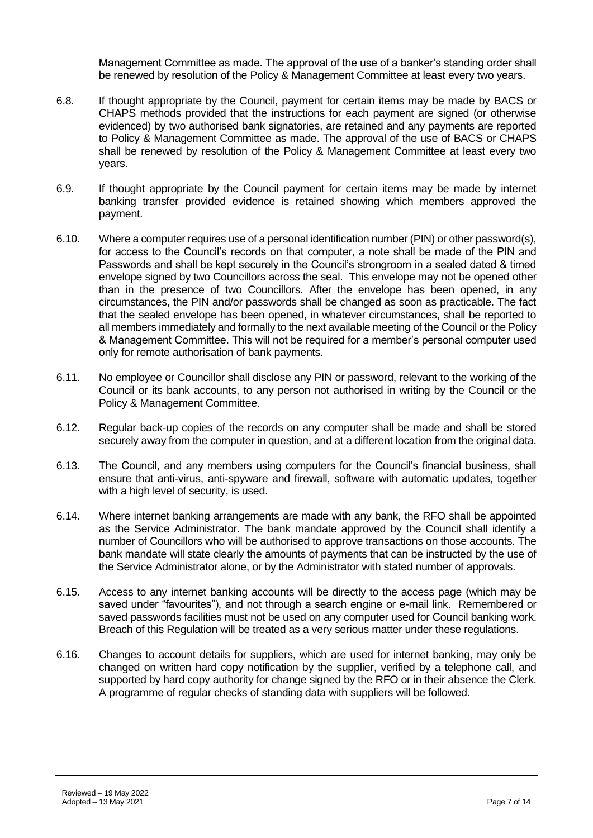Management Committee as made. The approval of the use of a banker's standing order shall be renewed by resolution of the Policy & Management Committee at least every two years.

- 6.8. If thought appropriate by the Council, payment for certain items may be made by BACS or CHAPS methods provided that the instructions for each payment are signed (or otherwise evidenced) by two authorised bank signatories, are retained and any payments are reported to Policy & Management Committee as made. The approval of the use of BACS or CHAPS shall be renewed by resolution of the Policy & Management Committee at least every two years.
- 6.9. If thought appropriate by the Council payment for certain items may be made by internet banking transfer provided evidence is retained showing which members approved the payment.
- 6.10. Where a computer requires use of a personal identification number (PIN) or other password(s), for access to the Council's records on that computer, a note shall be made of the PIN and Passwords and shall be kept securely in the Council's strongroom in a sealed dated & timed envelope signed by two Councillors across the seal. This envelope may not be opened other than in the presence of two Councillors. After the envelope has been opened, in any circumstances, the PIN and/or passwords shall be changed as soon as practicable. The fact that the sealed envelope has been opened, in whatever circumstances, shall be reported to all members immediately and formally to the next available meeting of the Council or the Policy & Management Committee. This will not be required for a member's personal computer used only for remote authorisation of bank payments.
- 6.11. No employee or Councillor shall disclose any PIN or password, relevant to the working of the Council or its bank accounts, to any person not authorised in writing by the Council or the Policy & Management Committee.
- 6.12. Regular back-up copies of the records on any computer shall be made and shall be stored securely away from the computer in question, and at a different location from the original data.
- 6.13. The Council, and any members using computers for the Council's financial business, shall ensure that anti-virus, anti-spyware and firewall, software with automatic updates, together with a high level of security, is used.
- 6.14. Where internet banking arrangements are made with any bank, the RFO shall be appointed as the Service Administrator. The bank mandate approved by the Council shall identify a number of Councillors who will be authorised to approve transactions on those accounts. The bank mandate will state clearly the amounts of payments that can be instructed by the use of the Service Administrator alone, or by the Administrator with stated number of approvals.
- 6.15. Access to any internet banking accounts will be directly to the access page (which may be saved under "favourites"), and not through a search engine or e-mail link. Remembered or saved passwords facilities must not be used on any computer used for Council banking work. Breach of this Regulation will be treated as a very serious matter under these regulations.
- 6.16. Changes to account details for suppliers, which are used for internet banking, may only be changed on written hard copy notification by the supplier, verified by a telephone call, and supported by hard copy authority for change signed by the RFO or in their absence the Clerk. A programme of regular checks of standing data with suppliers will be followed.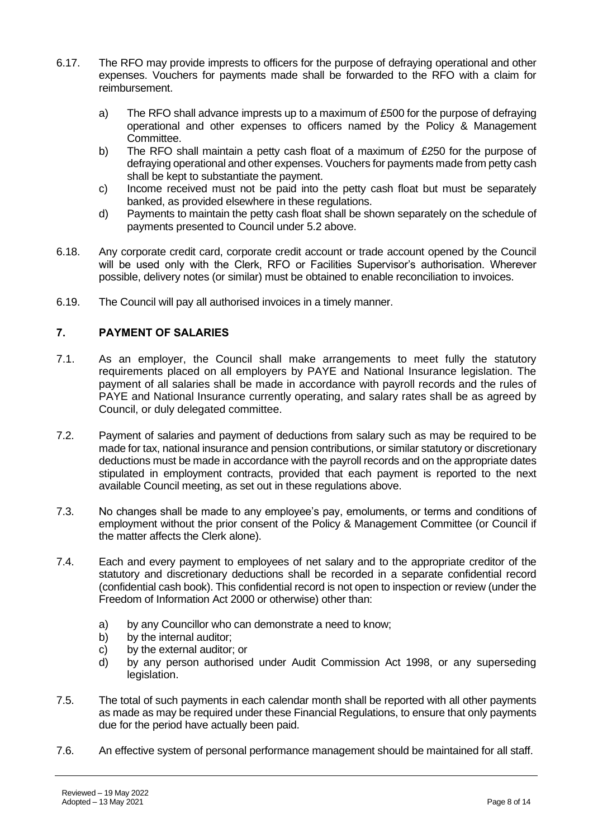- 6.17. The RFO may provide imprests to officers for the purpose of defraying operational and other expenses. Vouchers for payments made shall be forwarded to the RFO with a claim for reimbursement.
	- a) The RFO shall advance imprests up to a maximum of £500 for the purpose of defraying operational and other expenses to officers named by the Policy & Management Committee.
	- b) The RFO shall maintain a petty cash float of a maximum of £250 for the purpose of defraying operational and other expenses. Vouchers for payments made from petty cash shall be kept to substantiate the payment.
	- c) Income received must not be paid into the petty cash float but must be separately banked, as provided elsewhere in these regulations.
	- d) Payments to maintain the petty cash float shall be shown separately on the schedule of payments presented to Council under 5.2 above.
- 6.18. Any corporate credit card, corporate credit account or trade account opened by the Council will be used only with the Clerk, RFO or Facilities Supervisor's authorisation. Wherever possible, delivery notes (or similar) must be obtained to enable reconciliation to invoices.
- 6.19. The Council will pay all authorised invoices in a timely manner.

## **7. PAYMENT OF SALARIES**

- 7.1. As an employer, the Council shall make arrangements to meet fully the statutory requirements placed on all employers by PAYE and National Insurance legislation. The payment of all salaries shall be made in accordance with payroll records and the rules of PAYE and National Insurance currently operating, and salary rates shall be as agreed by Council, or duly delegated committee.
- 7.2. Payment of salaries and payment of deductions from salary such as may be required to be made for tax, national insurance and pension contributions, or similar statutory or discretionary deductions must be made in accordance with the payroll records and on the appropriate dates stipulated in employment contracts, provided that each payment is reported to the next available Council meeting, as set out in these regulations above.
- 7.3. No changes shall be made to any employee's pay, emoluments, or terms and conditions of employment without the prior consent of the Policy & Management Committee (or Council if the matter affects the Clerk alone).
- 7.4. Each and every payment to employees of net salary and to the appropriate creditor of the statutory and discretionary deductions shall be recorded in a separate confidential record (confidential cash book). This confidential record is not open to inspection or review (under the Freedom of Information Act 2000 or otherwise) other than:
	- a) by any Councillor who can demonstrate a need to know;
	- b) by the internal auditor;
	- c) by the external auditor; or
	- d) by any person authorised under Audit Commission Act 1998, or any superseding legislation.
- 7.5. The total of such payments in each calendar month shall be reported with all other payments as made as may be required under these Financial Regulations, to ensure that only payments due for the period have actually been paid.
- 7.6. An effective system of personal performance management should be maintained for all staff.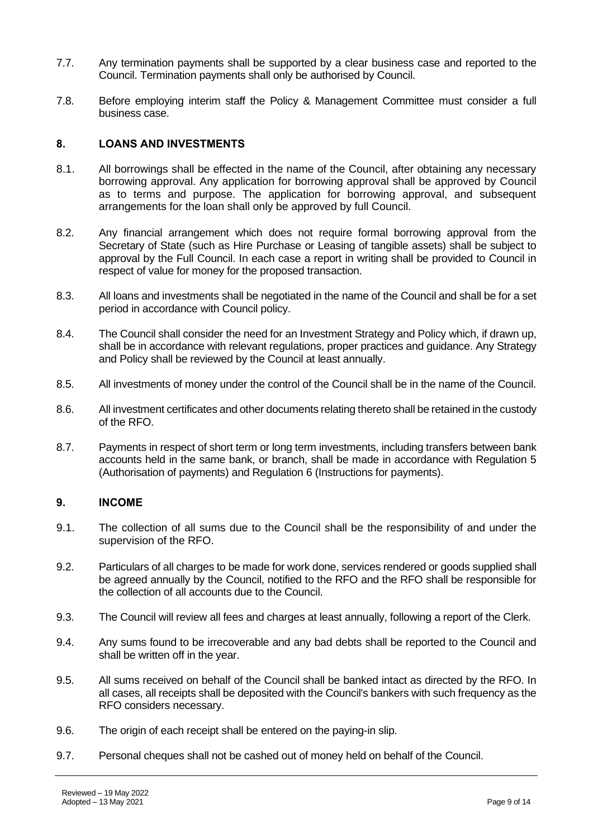- 7.7. Any termination payments shall be supported by a clear business case and reported to the Council. Termination payments shall only be authorised by Council.
- 7.8. Before employing interim staff the Policy & Management Committee must consider a full business case.

## **8. LOANS AND INVESTMENTS**

- 8.1. All borrowings shall be effected in the name of the Council, after obtaining any necessary borrowing approval. Any application for borrowing approval shall be approved by Council as to terms and purpose. The application for borrowing approval, and subsequent arrangements for the loan shall only be approved by full Council.
- 8.2. Any financial arrangement which does not require formal borrowing approval from the Secretary of State (such as Hire Purchase or Leasing of tangible assets) shall be subject to approval by the Full Council. In each case a report in writing shall be provided to Council in respect of value for money for the proposed transaction.
- 8.3. All loans and investments shall be negotiated in the name of the Council and shall be for a set period in accordance with Council policy.
- 8.4. The Council shall consider the need for an Investment Strategy and Policy which, if drawn up, shall be in accordance with relevant regulations, proper practices and guidance. Any Strategy and Policy shall be reviewed by the Council at least annually.
- 8.5. All investments of money under the control of the Council shall be in the name of the Council.
- 8.6. All investment certificates and other documents relating thereto shall be retained in the custody of the RFO.
- 8.7. Payments in respect of short term or long term investments, including transfers between bank accounts held in the same bank, or branch, shall be made in accordance with Regulation 5 (Authorisation of payments) and Regulation 6 (Instructions for payments).

#### **9. INCOME**

- 9.1. The collection of all sums due to the Council shall be the responsibility of and under the supervision of the RFO.
- 9.2. Particulars of all charges to be made for work done, services rendered or goods supplied shall be agreed annually by the Council, notified to the RFO and the RFO shall be responsible for the collection of all accounts due to the Council.
- 9.3. The Council will review all fees and charges at least annually, following a report of the Clerk.
- 9.4. Any sums found to be irrecoverable and any bad debts shall be reported to the Council and shall be written off in the year.
- 9.5. All sums received on behalf of the Council shall be banked intact as directed by the RFO. In all cases, all receipts shall be deposited with the Council's bankers with such frequency as the RFO considers necessary.
- 9.6. The origin of each receipt shall be entered on the paying-in slip.
- 9.7. Personal cheques shall not be cashed out of money held on behalf of the Council.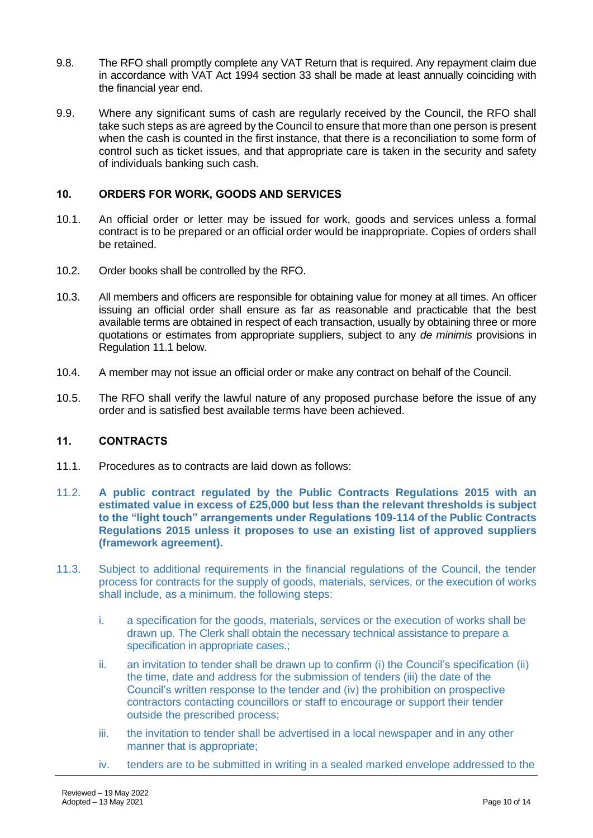- 9.8. The RFO shall promptly complete any VAT Return that is required. Any repayment claim due in accordance with VAT Act 1994 section 33 shall be made at least annually coinciding with the financial year end.
- 9.9. Where any significant sums of cash are regularly received by the Council, the RFO shall take such steps as are agreed by the Council to ensure that more than one person is present when the cash is counted in the first instance, that there is a reconciliation to some form of control such as ticket issues, and that appropriate care is taken in the security and safety of individuals banking such cash.

## **10. ORDERS FOR WORK, GOODS AND SERVICES**

- 10.1. An official order or letter may be issued for work, goods and services unless a formal contract is to be prepared or an official order would be inappropriate. Copies of orders shall be retained.
- 10.2. Order books shall be controlled by the RFO.
- 10.3. All members and officers are responsible for obtaining value for money at all times. An officer issuing an official order shall ensure as far as reasonable and practicable that the best available terms are obtained in respect of each transaction, usually by obtaining three or more quotations or estimates from appropriate suppliers, subject to any *de minimis* provisions in Regulation 11.1 below.
- 10.4. A member may not issue an official order or make any contract on behalf of the Council.
- 10.5. The RFO shall verify the lawful nature of any proposed purchase before the issue of any order and is satisfied best available terms have been achieved.

## **11. CONTRACTS**

- 11.1. Procedures as to contracts are laid down as follows:
- 11.2. **A public contract regulated by the Public Contracts Regulations 2015 with an estimated value in excess of £25,000 but less than the relevant thresholds is subject to the "light touch" arrangements under Regulations 109-114 of the Public Contracts Regulations 2015 unless it proposes to use an existing list of approved suppliers (framework agreement).**
- 11.3. Subject to additional requirements in the financial regulations of the Council, the tender process for contracts for the supply of goods, materials, services, or the execution of works shall include, as a minimum, the following steps:
	- i. a specification for the goods, materials, services or the execution of works shall be drawn up. The Clerk shall obtain the necessary technical assistance to prepare a specification in appropriate cases.;
	- ii. an invitation to tender shall be drawn up to confirm (i) the Council's specification (ii) the time, date and address for the submission of tenders (iii) the date of the Council's written response to the tender and (iv) the prohibition on prospective contractors contacting councillors or staff to encourage or support their tender outside the prescribed process;
	- iii. the invitation to tender shall be advertised in a local newspaper and in any other manner that is appropriate;
	- iv. tenders are to be submitted in writing in a sealed marked envelope addressed to the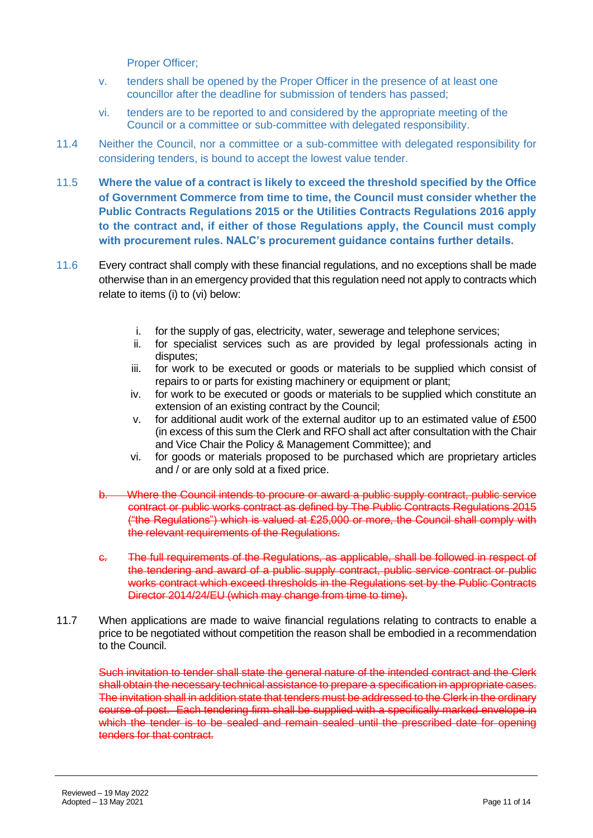Proper Officer;

- v. tenders shall be opened by the Proper Officer in the presence of at least one councillor after the deadline for submission of tenders has passed;
- vi. tenders are to be reported to and considered by the appropriate meeting of the Council or a committee or sub-committee with delegated responsibility.
- 11.4 Neither the Council, nor a committee or a sub-committee with delegated responsibility for considering tenders, is bound to accept the lowest value tender.
- 11.5 **Where the value of a contract is likely to exceed the threshold specified by the Office of Government Commerce from time to time, the Council must consider whether the Public Contracts Regulations 2015 or the Utilities Contracts Regulations 2016 apply to the contract and, if either of those Regulations apply, the Council must comply with procurement rules. NALC's procurement guidance contains further details.**
- 11.6 Every contract shall comply with these financial regulations, and no exceptions shall be made otherwise than in an emergency provided that this regulation need not apply to contracts which relate to items (i) to (vi) below:
	- i. for the supply of gas, electricity, water, sewerage and telephone services;
	- ii. for specialist services such as are provided by legal professionals acting in disputes;
	- iii. for work to be executed or goods or materials to be supplied which consist of repairs to or parts for existing machinery or equipment or plant;
	- iv. for work to be executed or goods or materials to be supplied which constitute an extension of an existing contract by the Council;
	- v. for additional audit work of the external auditor up to an estimated value of £500 (in excess of this sum the Clerk and RFO shall act after consultation with the Chair and Vice Chair the Policy & Management Committee); and
	- vi. for goods or materials proposed to be purchased which are proprietary articles and / or are only sold at a fixed price.
	- b. Where the Council intends to procure or award a public supply contract, public service contract or public works contract as defined by The Public Contracts Regulations 2015 ("the Regulations") which is valued at £25,000 or more, the Council shall comply with the relevant requirements of the Regulations.
	- c. The full requirements of the Regulations, as applicable, shall be followed in respect of the tendering and award of a public supply contract, public service contract or public works contract which exceed thresholds in the Regulations set by the Public Contracts Director 2014/24/EU (which may change from time to time).
- 11.7 When applications are made to waive financial regulations relating to contracts to enable a price to be negotiated without competition the reason shall be embodied in a recommendation to the Council.

Such invitation to tender shall state the general nature of the intended contract and the Clerk shall obtain the necessary technical assistance to prepare a specification in appropriate cases. The invitation shall in addition state that tenders must be addressed to the Clerk in the ordinary course of post. Each tendering firm shall be supplied with a specifically marked envelope in which the tender is to be sealed and remain sealed until the prescribed date for opening tenders for that contract.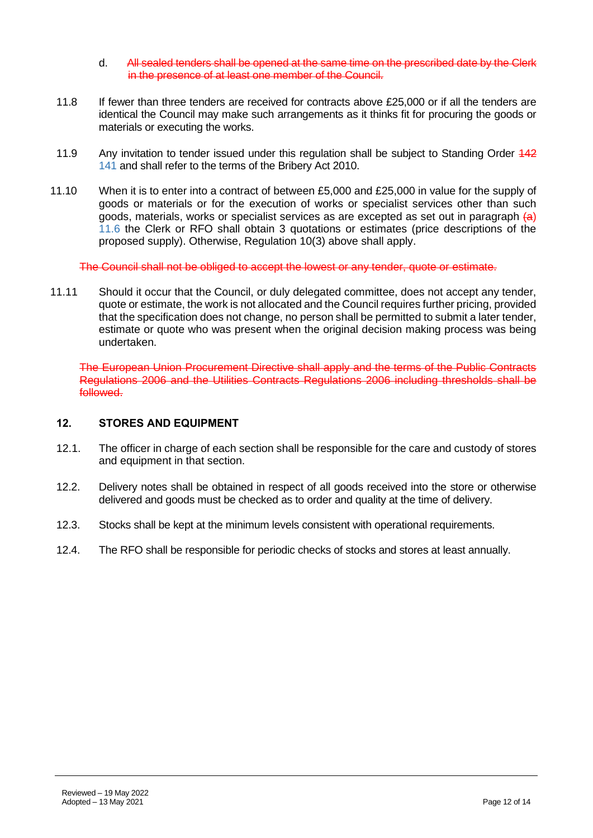- d. All sealed tenders shall be opened at the same time on the prescribed date by the Clerk in the presence of at least one member of the Council.
- 11.8 If fewer than three tenders are received for contracts above £25,000 or if all the tenders are identical the Council may make such arrangements as it thinks fit for procuring the goods or materials or executing the works.
- 11.9 Any invitation to tender issued under this regulation shall be subject to Standing Order 442 141 and shall refer to the terms of the Bribery Act 2010.
- 11.10 When it is to enter into a contract of between £5,000 and £25,000 in value for the supply of goods or materials or for the execution of works or specialist services other than such goods, materials, works or specialist services as are excepted as set out in paragraph  $(a)$ 11.6 the Clerk or RFO shall obtain 3 quotations or estimates (price descriptions of the proposed supply). Otherwise, Regulation 10(3) above shall apply.

The Council shall not be obliged to accept the lowest or any tender, quote or estimate.

11.11 Should it occur that the Council, or duly delegated committee, does not accept any tender, quote or estimate, the work is not allocated and the Council requires further pricing, provided that the specification does not change, no person shall be permitted to submit a later tender, estimate or quote who was present when the original decision making process was being undertaken.

The European Union Procurement Directive shall apply and the terms of the Public Contracts Regulations 2006 and the Utilities Contracts Regulations 2006 including thresholds shall be followed.

## **12. STORES AND EQUIPMENT**

- 12.1. The officer in charge of each section shall be responsible for the care and custody of stores and equipment in that section.
- 12.2. Delivery notes shall be obtained in respect of all goods received into the store or otherwise delivered and goods must be checked as to order and quality at the time of delivery.
- 12.3. Stocks shall be kept at the minimum levels consistent with operational requirements.
- 12.4. The RFO shall be responsible for periodic checks of stocks and stores at least annually.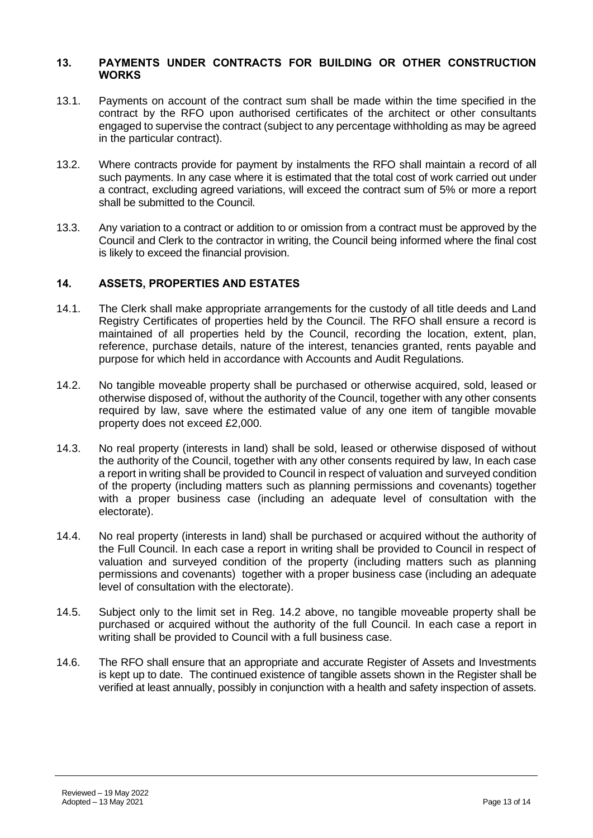#### **13. PAYMENTS UNDER CONTRACTS FOR BUILDING OR OTHER CONSTRUCTION WORKS**

- 13.1. Payments on account of the contract sum shall be made within the time specified in the contract by the RFO upon authorised certificates of the architect or other consultants engaged to supervise the contract (subject to any percentage withholding as may be agreed in the particular contract).
- 13.2. Where contracts provide for payment by instalments the RFO shall maintain a record of all such payments. In any case where it is estimated that the total cost of work carried out under a contract, excluding agreed variations, will exceed the contract sum of 5% or more a report shall be submitted to the Council.
- 13.3. Any variation to a contract or addition to or omission from a contract must be approved by the Council and Clerk to the contractor in writing, the Council being informed where the final cost is likely to exceed the financial provision.

#### **14. ASSETS, PROPERTIES AND ESTATES**

- 14.1. The Clerk shall make appropriate arrangements for the custody of all title deeds and Land Registry Certificates of properties held by the Council. The RFO shall ensure a record is maintained of all properties held by the Council, recording the location, extent, plan, reference, purchase details, nature of the interest, tenancies granted, rents payable and purpose for which held in accordance with Accounts and Audit Regulations.
- 14.2. No tangible moveable property shall be purchased or otherwise acquired, sold, leased or otherwise disposed of, without the authority of the Council, together with any other consents required by law, save where the estimated value of any one item of tangible movable property does not exceed £2,000.
- 14.3. No real property (interests in land) shall be sold, leased or otherwise disposed of without the authority of the Council, together with any other consents required by law, In each case a report in writing shall be provided to Council in respect of valuation and surveyed condition of the property (including matters such as planning permissions and covenants) together with a proper business case (including an adequate level of consultation with the electorate).
- 14.4. No real property (interests in land) shall be purchased or acquired without the authority of the Full Council. In each case a report in writing shall be provided to Council in respect of valuation and surveyed condition of the property (including matters such as planning permissions and covenants) together with a proper business case (including an adequate level of consultation with the electorate).
- 14.5. Subject only to the limit set in Reg. 14.2 above, no tangible moveable property shall be purchased or acquired without the authority of the full Council. In each case a report in writing shall be provided to Council with a full business case.
- 14.6. The RFO shall ensure that an appropriate and accurate Register of Assets and Investments is kept up to date. The continued existence of tangible assets shown in the Register shall be verified at least annually, possibly in conjunction with a health and safety inspection of assets.